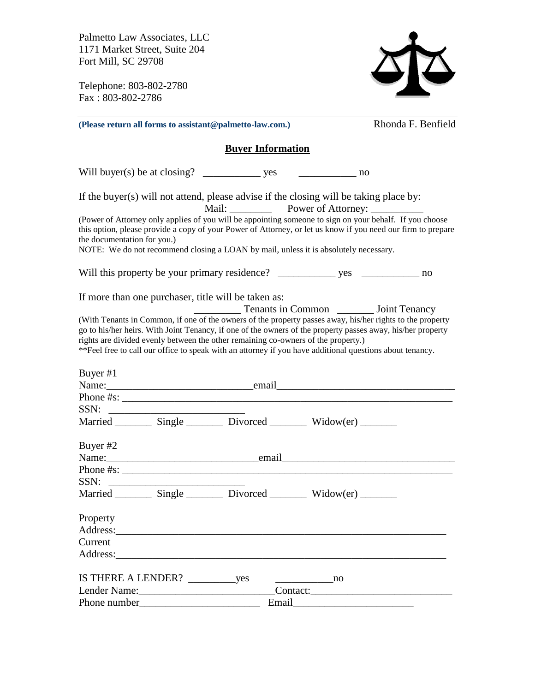Palmetto Law Associates, LLC 1171 Market Street, Suite 204 Fort Mill, SC 29708

Telephone: 803-802-2780 Fax : 803-802-2786



|                                             | (Please return all forms to assistant@palmetto-law.com.)                                                                                                                                                                                                                                                                                                                                                                                                                                                                       |           | Rhonda F. Benfield |
|---------------------------------------------|--------------------------------------------------------------------------------------------------------------------------------------------------------------------------------------------------------------------------------------------------------------------------------------------------------------------------------------------------------------------------------------------------------------------------------------------------------------------------------------------------------------------------------|-----------|--------------------|
|                                             | <b>Buyer Information</b>                                                                                                                                                                                                                                                                                                                                                                                                                                                                                                       |           |                    |
|                                             | Will buyer(s) be at closing? $\frac{1}{2}$ yes $\frac{1}{2}$ no                                                                                                                                                                                                                                                                                                                                                                                                                                                                |           |                    |
|                                             | If the buyer(s) will not attend, please advise if the closing will be taking place by:<br>Mail: Power of Attorney: __________                                                                                                                                                                                                                                                                                                                                                                                                  |           |                    |
| the documentation for you.)                 | (Power of Attorney only applies of you will be appointing someone to sign on your behalf. If you choose<br>this option, please provide a copy of your Power of Attorney, or let us know if you need our firm to prepare<br>NOTE: We do not recommend closing a LOAN by mail, unless it is absolutely necessary.                                                                                                                                                                                                                |           |                    |
|                                             |                                                                                                                                                                                                                                                                                                                                                                                                                                                                                                                                |           |                    |
|                                             |                                                                                                                                                                                                                                                                                                                                                                                                                                                                                                                                |           |                    |
|                                             | If more than one purchaser, title will be taken as:<br>Tenants in Common _________ Joint Tenancy<br>(With Tenants in Common, if one of the owners of the property passes away, his/her rights to the property<br>go to his/her heirs. With Joint Tenancy, if one of the owners of the property passes away, his/her property<br>rights are divided evenly between the other remaining co-owners of the property.)<br>** Feel free to call our office to speak with an attorney if you have additional questions about tenancy. |           |                    |
| Buyer #1                                    |                                                                                                                                                                                                                                                                                                                                                                                                                                                                                                                                |           |                    |
|                                             |                                                                                                                                                                                                                                                                                                                                                                                                                                                                                                                                |           |                    |
|                                             |                                                                                                                                                                                                                                                                                                                                                                                                                                                                                                                                |           |                    |
|                                             | Married __________ Single __________ Divorced ___________ Widow(er) _________                                                                                                                                                                                                                                                                                                                                                                                                                                                  |           |                    |
| Buyer #2                                    | Name: Name and Name and Name and Name and Name and Name and Name and Name and Name and Name and Name and Name and Name and Name and Name and Name and Name and Name and Name and Name and Name and Name and Name and Name and                                                                                                                                                                                                                                                                                                  |           |                    |
|                                             |                                                                                                                                                                                                                                                                                                                                                                                                                                                                                                                                |           |                    |
|                                             | Married __________ Single __________ Divorced ___________ Widow(er) _________                                                                                                                                                                                                                                                                                                                                                                                                                                                  |           |                    |
| Property<br>Address:<br>Current<br>Address: | <u> 1980 - John Stein, Amerikaansk politiker (* 1900)</u>                                                                                                                                                                                                                                                                                                                                                                                                                                                                      |           |                    |
|                                             |                                                                                                                                                                                                                                                                                                                                                                                                                                                                                                                                | <u>no</u> |                    |
| Lender Name: 2008                           |                                                                                                                                                                                                                                                                                                                                                                                                                                                                                                                                |           |                    |
|                                             | Email                                                                                                                                                                                                                                                                                                                                                                                                                                                                                                                          |           |                    |